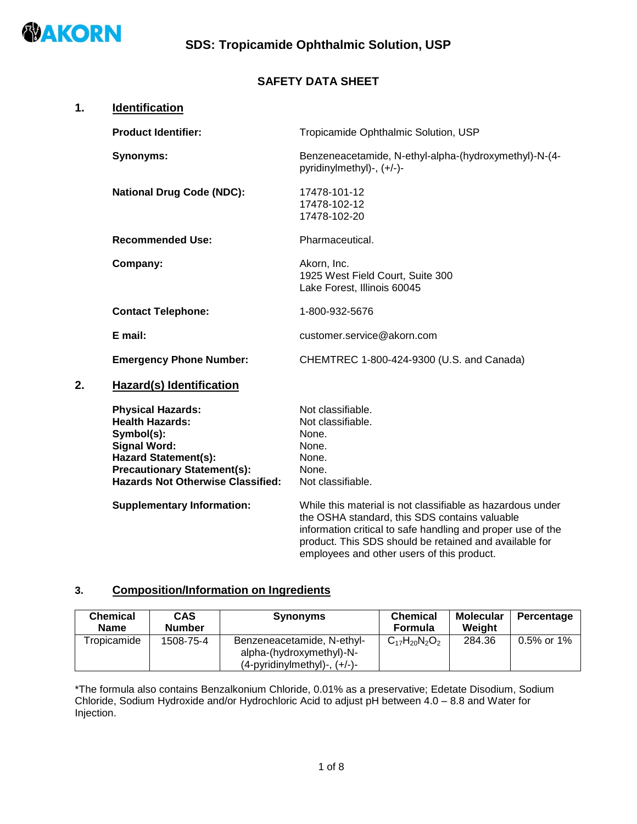

## **SAFETY DATA SHEET**

| 1. | Identification                                                                                                                                                                                           |                                                                                                             |
|----|----------------------------------------------------------------------------------------------------------------------------------------------------------------------------------------------------------|-------------------------------------------------------------------------------------------------------------|
|    | <b>Product Identifier:</b>                                                                                                                                                                               | Tropicamide Ophthalmic Solution, USP                                                                        |
|    | <b>Synonyms:</b>                                                                                                                                                                                         | Benzeneacetamide, N-ethyl-alpha-(hydroxymethyl)-N-(4-<br>pyridinylmethyl)-, (+/-)-                          |
|    | <b>National Drug Code (NDC):</b>                                                                                                                                                                         | 17478-101-12<br>17478-102-12<br>17478-102-20                                                                |
|    | <b>Recommended Use:</b>                                                                                                                                                                                  | Pharmaceutical.                                                                                             |
|    | Company:                                                                                                                                                                                                 | Akorn, Inc.<br>1925 West Field Court, Suite 300<br>Lake Forest, Illinois 60045                              |
|    | <b>Contact Telephone:</b>                                                                                                                                                                                | 1-800-932-5676                                                                                              |
|    | E mail:                                                                                                                                                                                                  | customer.service@akorn.com                                                                                  |
|    | <b>Emergency Phone Number:</b>                                                                                                                                                                           | CHEMTREC 1-800-424-9300 (U.S. and Canada)                                                                   |
| 2. | Hazard(s) Identification                                                                                                                                                                                 |                                                                                                             |
|    | <b>Physical Hazards:</b><br><b>Health Hazards:</b><br>Symbol(s):<br><b>Signal Word:</b><br><b>Hazard Statement(s):</b><br><b>Precautionary Statement(s):</b><br><b>Hazards Not Otherwise Classified:</b> | Not classifiable.<br>Not classifiable.<br>None.<br>None.<br>None.<br>None.<br>Not classifiable.             |
|    | <b>Supplementary Information:</b>                                                                                                                                                                        | While this material is not classifiable as hazardous under<br>the OSHA standard, this SDS contains valuable |

the OSHA standard, this SDS contains valuable information critical to safe handling and proper use of the product. This SDS should be retained and available for employees and other users of this product.

## **3. Composition/Information on Ingredients**

| <b>Chemical</b><br><b>Name</b> | <b>CAS</b><br><b>Number</b> | <b>Synonyms</b>                                                                                  | <b>Chemical</b><br><b>Formula</b> | <b>Molecular</b><br>Weiaht | Percentage    |
|--------------------------------|-----------------------------|--------------------------------------------------------------------------------------------------|-----------------------------------|----------------------------|---------------|
| Tropicamide                    | 1508-75-4                   | Benzeneacetamide, N-ethyl-<br>alpha-(hydroxymethyl)-N-<br>$(4$ -pyridinylmethyl $)$ -, $(+/-)$ - | $C_{17}H_{20}N_2O_2$              | 284.36                     | $0.5\%$ or 1% |

\*The formula also contains Benzalkonium Chloride, 0.01% as a preservative; Edetate Disodium, Sodium Chloride, Sodium Hydroxide and/or Hydrochloric Acid to adjust pH between 4.0 – 8.8 and Water for Injection.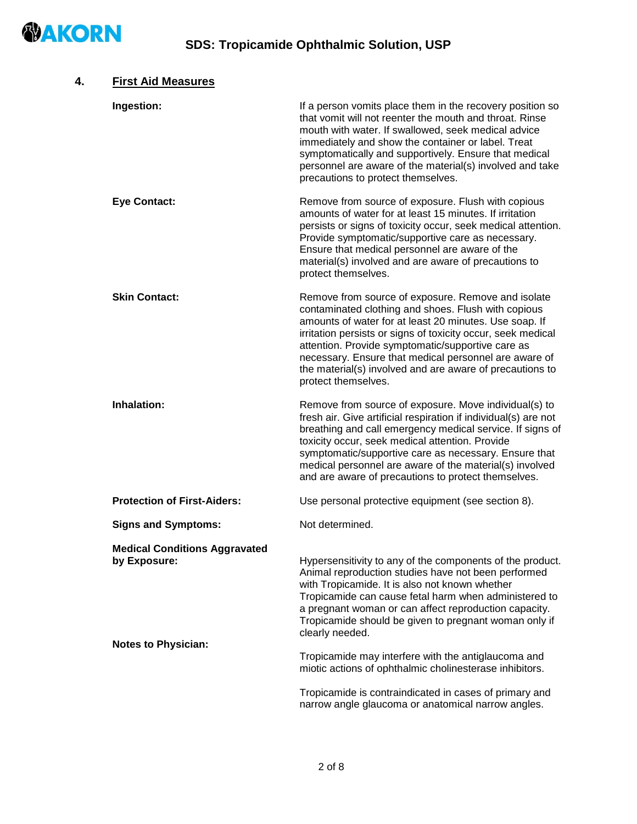

| 4. | <b>First Aid Measures</b>                                                          |                                                                                                                                                                                                                                                                                                                                                                                                                                      |
|----|------------------------------------------------------------------------------------|--------------------------------------------------------------------------------------------------------------------------------------------------------------------------------------------------------------------------------------------------------------------------------------------------------------------------------------------------------------------------------------------------------------------------------------|
|    | Ingestion:                                                                         | If a person vomits place them in the recovery position so<br>that vomit will not reenter the mouth and throat. Rinse<br>mouth with water. If swallowed, seek medical advice<br>immediately and show the container or label. Treat<br>symptomatically and supportively. Ensure that medical<br>personnel are aware of the material(s) involved and take<br>precautions to protect themselves.                                         |
|    | <b>Eye Contact:</b>                                                                | Remove from source of exposure. Flush with copious<br>amounts of water for at least 15 minutes. If irritation<br>persists or signs of toxicity occur, seek medical attention.<br>Provide symptomatic/supportive care as necessary.<br>Ensure that medical personnel are aware of the<br>material(s) involved and are aware of precautions to<br>protect themselves.                                                                  |
|    | <b>Skin Contact:</b>                                                               | Remove from source of exposure. Remove and isolate<br>contaminated clothing and shoes. Flush with copious<br>amounts of water for at least 20 minutes. Use soap. If<br>irritation persists or signs of toxicity occur, seek medical<br>attention. Provide symptomatic/supportive care as<br>necessary. Ensure that medical personnel are aware of<br>the material(s) involved and are aware of precautions to<br>protect themselves. |
|    | <b>Inhalation:</b>                                                                 | Remove from source of exposure. Move individual(s) to<br>fresh air. Give artificial respiration if individual(s) are not<br>breathing and call emergency medical service. If signs of<br>toxicity occur, seek medical attention. Provide<br>symptomatic/supportive care as necessary. Ensure that<br>medical personnel are aware of the material(s) involved<br>and are aware of precautions to protect themselves.                  |
|    | <b>Protection of First-Aiders:</b>                                                 | Use personal protective equipment (see section 8).                                                                                                                                                                                                                                                                                                                                                                                   |
|    | <b>Signs and Symptoms:</b>                                                         | Not determined.                                                                                                                                                                                                                                                                                                                                                                                                                      |
|    | <b>Medical Conditions Aggravated</b><br>by Exposure:<br><b>Notes to Physician:</b> | Hypersensitivity to any of the components of the product.<br>Animal reproduction studies have not been performed<br>with Tropicamide. It is also not known whether<br>Tropicamide can cause fetal harm when administered to<br>a pregnant woman or can affect reproduction capacity.<br>Tropicamide should be given to pregnant woman only if<br>clearly needed.                                                                     |
|    |                                                                                    | Tropicamide may interfere with the antiglaucoma and<br>miotic actions of ophthalmic cholinesterase inhibitors.                                                                                                                                                                                                                                                                                                                       |
|    |                                                                                    | Tropicamide is contraindicated in cases of primary and<br>narrow angle glaucoma or anatomical narrow angles.                                                                                                                                                                                                                                                                                                                         |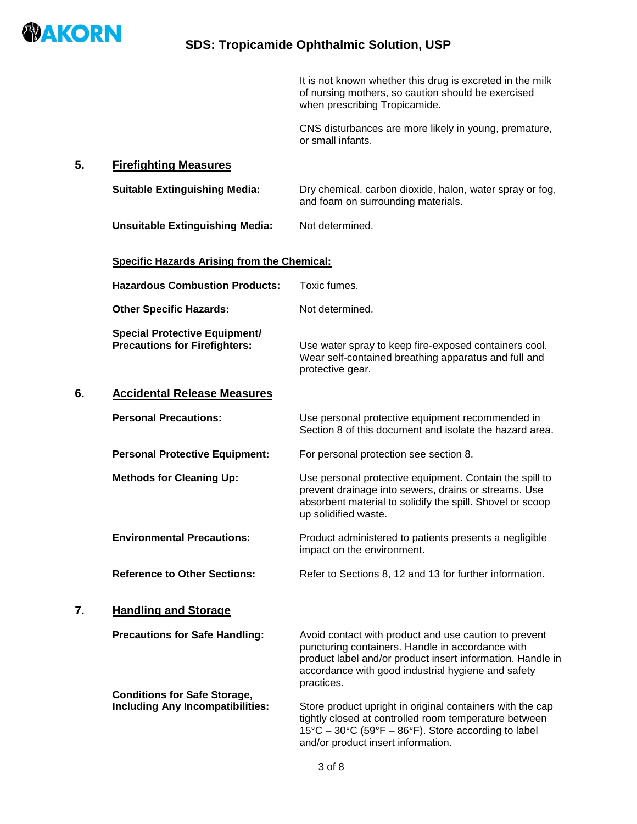

It is not known whether this drug is excreted in the milk of nursing mothers, so caution should be exercised when prescribing Tropicamide.

CNS disturbances are more likely in young, premature, or small infants.

Use water spray to keep fire-exposed containers cool. Wear self-contained breathing apparatus and full and

### **5. Firefighting Measures**

**Suitable Extinguishing Media:** Dry chemical, carbon dioxide, halon, water spray or fog, and foam on surrounding materials.

**Unsuitable Extinguishing Media:** Not determined.

#### **Specific Hazards Arising from the Chemical:**

| <b>Hazardous Combustion Products:</b> | Toxic fumes. |  |
|---------------------------------------|--------------|--|
|                                       |              |  |

**Other Specific Hazards:** Not determined.

 **Special Protective Equipment/**

### **6. Accidental Release Measures**

| <b>Personal Precautions:</b>          | Use personal protective equipment recommended in<br>Section 8 of this document and isolate the hazard area.                                                                                          |
|---------------------------------------|------------------------------------------------------------------------------------------------------------------------------------------------------------------------------------------------------|
| <b>Personal Protective Equipment:</b> | For personal protection see section 8.                                                                                                                                                               |
| <b>Methods for Cleaning Up:</b>       | Use personal protective equipment. Contain the spill to<br>prevent drainage into sewers, drains or streams. Use<br>absorbent material to solidify the spill. Shovel or scoop<br>up solidified waste. |
| <b>Environmental Precautions:</b>     | Product administered to patients presents a negligible<br>impact on the environment.                                                                                                                 |
| <b>Reference to Other Sections:</b>   | Refer to Sections 8, 12 and 13 for further information.                                                                                                                                              |

protective gear.

## **7. Handling and Storage**

**Precautions for Safe Handling:** Avoid contact with product and use caution to prevent

product label and/or product insert information. Handle in accordance with good industrial hygiene and safety practices. **Conditions for Safe Storage,** 

**Including Any Incompatibilities:** Store product upright in original containers with the cap tightly closed at controlled room temperature between  $15^{\circ}$ C – 30 $^{\circ}$ C (59 $^{\circ}$ F – 86 $^{\circ}$ F). Store according to label and/or product insert information.

puncturing containers. Handle in accordance with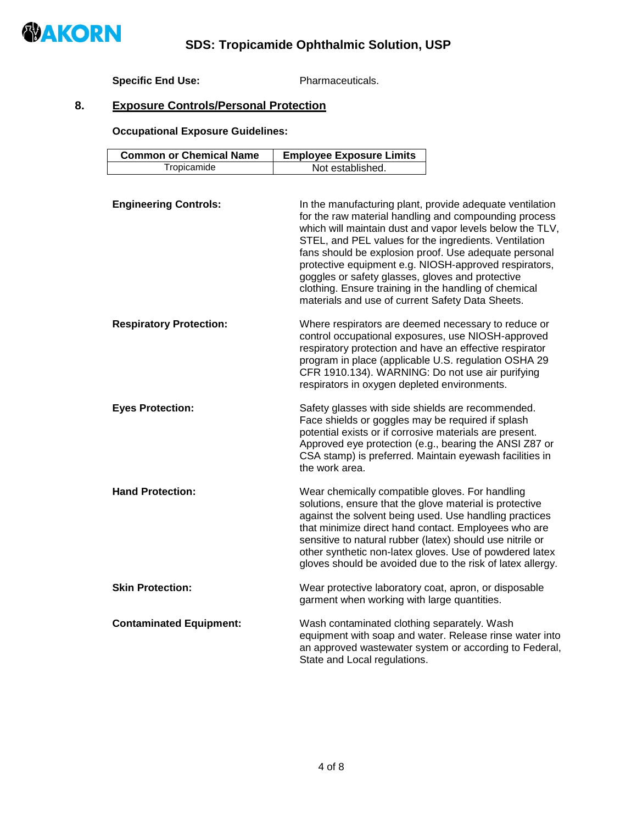

## **Specific End Use:** Pharmaceuticals.

# **8. Exposure Controls/Personal Protection**

**Occupational Exposure Guidelines:**

| <b>Common or Chemical Name</b> | <b>Employee Exposure Limits</b>                                                                                                                                                                                                                                                                                                                                                                                                                                                                                           |
|--------------------------------|---------------------------------------------------------------------------------------------------------------------------------------------------------------------------------------------------------------------------------------------------------------------------------------------------------------------------------------------------------------------------------------------------------------------------------------------------------------------------------------------------------------------------|
| Tropicamide                    | Not established.                                                                                                                                                                                                                                                                                                                                                                                                                                                                                                          |
|                                |                                                                                                                                                                                                                                                                                                                                                                                                                                                                                                                           |
| <b>Engineering Controls:</b>   | In the manufacturing plant, provide adequate ventilation<br>for the raw material handling and compounding process<br>which will maintain dust and vapor levels below the TLV,<br>STEL, and PEL values for the ingredients. Ventilation<br>fans should be explosion proof. Use adequate personal<br>protective equipment e.g. NIOSH-approved respirators,<br>goggles or safety glasses, gloves and protective<br>clothing. Ensure training in the handling of chemical<br>materials and use of current Safety Data Sheets. |
| <b>Respiratory Protection:</b> | Where respirators are deemed necessary to reduce or<br>control occupational exposures, use NIOSH-approved<br>respiratory protection and have an effective respirator<br>program in place (applicable U.S. regulation OSHA 29<br>CFR 1910.134). WARNING: Do not use air purifying<br>respirators in oxygen depleted environments.                                                                                                                                                                                          |
| <b>Eyes Protection:</b>        | Safety glasses with side shields are recommended.<br>Face shields or goggles may be required if splash<br>potential exists or if corrosive materials are present.<br>Approved eye protection (e.g., bearing the ANSI Z87 or<br>CSA stamp) is preferred. Maintain eyewash facilities in<br>the work area.                                                                                                                                                                                                                  |
| <b>Hand Protection:</b>        | Wear chemically compatible gloves. For handling<br>solutions, ensure that the glove material is protective<br>against the solvent being used. Use handling practices<br>that minimize direct hand contact. Employees who are<br>sensitive to natural rubber (latex) should use nitrile or<br>other synthetic non-latex gloves. Use of powdered latex<br>gloves should be avoided due to the risk of latex allergy.                                                                                                        |
| <b>Skin Protection:</b>        | Wear protective laboratory coat, apron, or disposable<br>garment when working with large quantities.                                                                                                                                                                                                                                                                                                                                                                                                                      |
| <b>Contaminated Equipment:</b> | Wash contaminated clothing separately. Wash<br>equipment with soap and water. Release rinse water into<br>an approved wastewater system or according to Federal,<br>State and Local regulations.                                                                                                                                                                                                                                                                                                                          |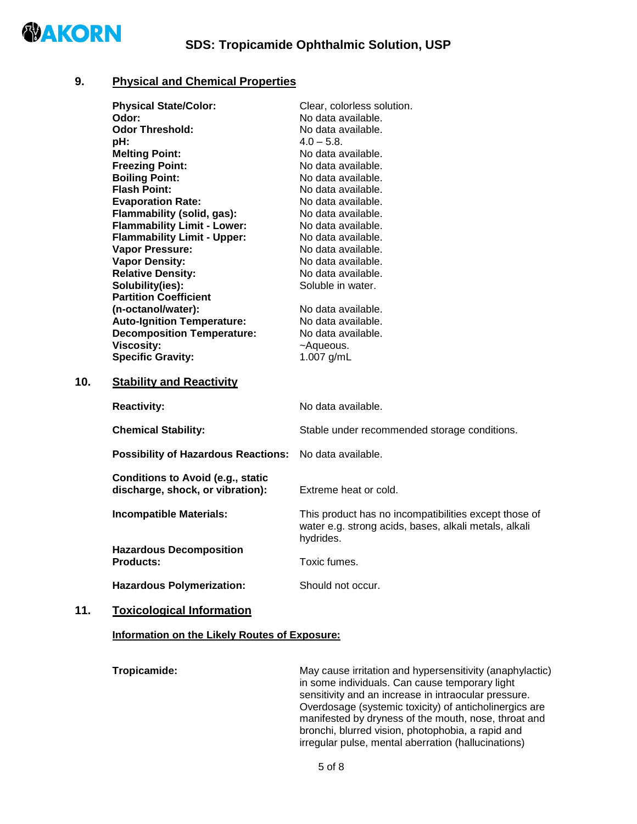

### **9. Physical and Chemical Properties**

|     | <b>Physical State/Color:</b>                       | Clear, colorless solution.                                                                                                  |
|-----|----------------------------------------------------|-----------------------------------------------------------------------------------------------------------------------------|
|     | Odor:                                              | No data available.                                                                                                          |
|     | <b>Odor Threshold:</b>                             | No data available.                                                                                                          |
|     | pH:                                                | $4.0 - 5.8$ .                                                                                                               |
|     | <b>Melting Point:</b>                              | No data available.                                                                                                          |
|     | <b>Freezing Point:</b>                             | No data available.                                                                                                          |
|     | <b>Boiling Point:</b>                              | No data available.                                                                                                          |
|     | <b>Flash Point:</b>                                | No data available.                                                                                                          |
|     | <b>Evaporation Rate:</b>                           | No data available.                                                                                                          |
|     | Flammability (solid, gas):                         | No data available.                                                                                                          |
|     | <b>Flammability Limit - Lower:</b>                 | No data available.                                                                                                          |
|     | <b>Flammability Limit - Upper:</b>                 | No data available.                                                                                                          |
|     | Vapor Pressure:                                    | No data available.                                                                                                          |
|     | <b>Vapor Density:</b>                              | No data available.                                                                                                          |
|     | <b>Relative Density:</b>                           | No data available.                                                                                                          |
|     | Solubility(ies):                                   | Soluble in water.                                                                                                           |
|     | <b>Partition Coefficient</b>                       |                                                                                                                             |
|     | (n-octanol/water):                                 | No data available.                                                                                                          |
|     | <b>Auto-Ignition Temperature:</b>                  | No data available.                                                                                                          |
|     | <b>Decomposition Temperature:</b>                  | No data available.                                                                                                          |
|     | <b>Viscosity:</b>                                  | ~Aqueous.                                                                                                                   |
|     | <b>Specific Gravity:</b>                           | 1.007 g/mL                                                                                                                  |
| 10. | <b>Stability and Reactivity</b>                    |                                                                                                                             |
|     | <b>Reactivity:</b>                                 | No data available.                                                                                                          |
|     | <b>Chemical Stability:</b>                         | Stable under recommended storage conditions.                                                                                |
|     |                                                    |                                                                                                                             |
|     | <b>Possibility of Hazardous Reactions:</b>         | No data available.                                                                                                          |
|     | <b>Conditions to Avoid (e.g., static</b>           |                                                                                                                             |
|     | discharge, shock, or vibration):                   | Extreme heat or cold.                                                                                                       |
|     | <b>Incompatible Materials:</b>                     | This product has no incompatibilities except those of<br>water e.g. strong acids, bases, alkali metals, alkali<br>hydrides. |
|     | <b>Hazardous Decomposition</b><br><b>Products:</b> | Toxic fumes.                                                                                                                |
|     | <b>Hazardous Polymerization:</b>                   | Should not occur.                                                                                                           |

## **11. Toxicological Information**

#### **Information on the Likely Routes of Exposure:**

**Tropicamide:** May cause irritation and hypersensitivity (anaphylactic) in some individuals. Can cause temporary light sensitivity and an increase in intraocular pressure. Overdosage (systemic toxicity) of anticholinergics are manifested by dryness of the mouth, nose, throat and bronchi, blurred vision, photophobia, a rapid and irregular pulse, mental aberration (hallucinations)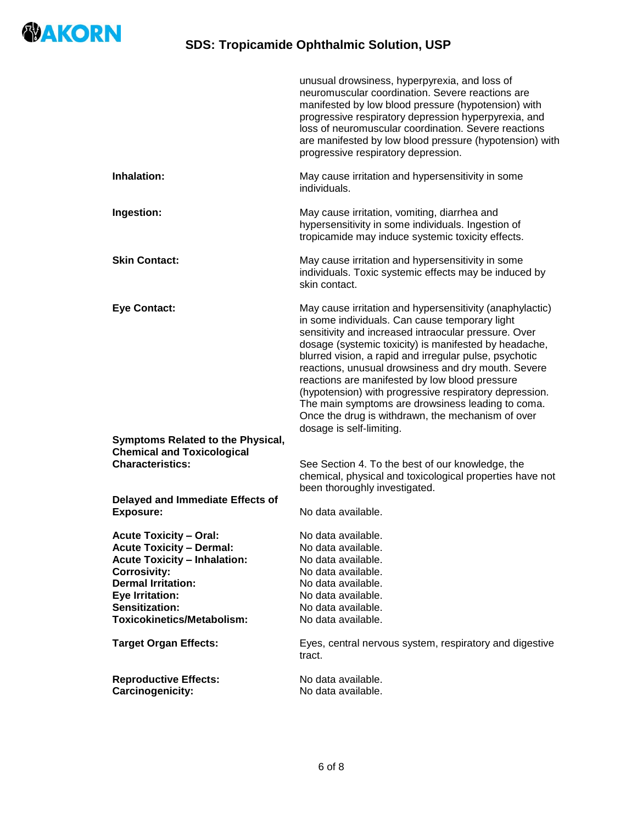

|                                                                                                                                                                                                                                                                              | unusual drowsiness, hyperpyrexia, and loss of<br>neuromuscular coordination. Severe reactions are<br>manifested by low blood pressure (hypotension) with<br>progressive respiratory depression hyperpyrexia, and<br>loss of neuromuscular coordination. Severe reactions<br>are manifested by low blood pressure (hypotension) with<br>progressive respiratory depression.                                                                                                                                                                                                                     |
|------------------------------------------------------------------------------------------------------------------------------------------------------------------------------------------------------------------------------------------------------------------------------|------------------------------------------------------------------------------------------------------------------------------------------------------------------------------------------------------------------------------------------------------------------------------------------------------------------------------------------------------------------------------------------------------------------------------------------------------------------------------------------------------------------------------------------------------------------------------------------------|
| Inhalation:                                                                                                                                                                                                                                                                  | May cause irritation and hypersensitivity in some<br>individuals.                                                                                                                                                                                                                                                                                                                                                                                                                                                                                                                              |
| Ingestion:                                                                                                                                                                                                                                                                   | May cause irritation, vomiting, diarrhea and<br>hypersensitivity in some individuals. Ingestion of<br>tropicamide may induce systemic toxicity effects.                                                                                                                                                                                                                                                                                                                                                                                                                                        |
| <b>Skin Contact:</b>                                                                                                                                                                                                                                                         | May cause irritation and hypersensitivity in some<br>individuals. Toxic systemic effects may be induced by<br>skin contact.                                                                                                                                                                                                                                                                                                                                                                                                                                                                    |
| <b>Eye Contact:</b><br><b>Symptoms Related to the Physical,</b>                                                                                                                                                                                                              | May cause irritation and hypersensitivity (anaphylactic)<br>in some individuals. Can cause temporary light<br>sensitivity and increased intraocular pressure. Over<br>dosage (systemic toxicity) is manifested by headache,<br>blurred vision, a rapid and irregular pulse, psychotic<br>reactions, unusual drowsiness and dry mouth. Severe<br>reactions are manifested by low blood pressure<br>(hypotension) with progressive respiratory depression.<br>The main symptoms are drowsiness leading to coma.<br>Once the drug is withdrawn, the mechanism of over<br>dosage is self-limiting. |
| <b>Chemical and Toxicological</b><br><b>Characteristics:</b>                                                                                                                                                                                                                 | See Section 4. To the best of our knowledge, the<br>chemical, physical and toxicological properties have not<br>been thoroughly investigated.                                                                                                                                                                                                                                                                                                                                                                                                                                                  |
| Delayed and Immediate Effects of<br><b>Exposure:</b>                                                                                                                                                                                                                         | No data available.                                                                                                                                                                                                                                                                                                                                                                                                                                                                                                                                                                             |
| <b>Acute Toxicity - Oral:</b><br><b>Acute Toxicity - Dermal:</b><br><b>Acute Toxicity - Inhalation:</b><br><b>Corrosivity:</b><br><b>Dermal Irritation:</b><br><b>Eye Irritation:</b><br>Sensitization:<br><b>Toxicokinetics/Metabolism:</b><br><b>Target Organ Effects:</b> | No data available.<br>No data available.<br>No data available.<br>No data available.<br>No data available.<br>No data available.<br>No data available.<br>No data available.<br>Eyes, central nervous system, respiratory and digestive                                                                                                                                                                                                                                                                                                                                                        |
| <b>Reproductive Effects:</b><br>Carcinogenicity:                                                                                                                                                                                                                             | tract.<br>No data available.<br>No data available.                                                                                                                                                                                                                                                                                                                                                                                                                                                                                                                                             |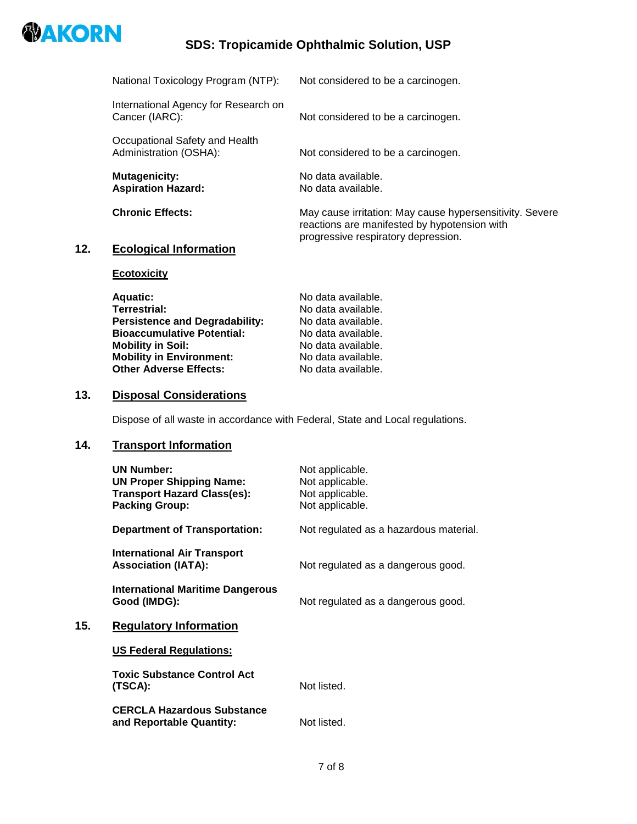

# **SDS: Tropicamide Ophthalmic Solution, USP**

| National Toxicology Program (NTP):                       | Not considered to be a carcinogen.                                                                       |
|----------------------------------------------------------|----------------------------------------------------------------------------------------------------------|
| International Agency for Research on<br>Cancer (IARC):   | Not considered to be a carcinogen.                                                                       |
| Occupational Safety and Health<br>Administration (OSHA): | Not considered to be a carcinogen.                                                                       |
| <b>Mutagenicity:</b><br><b>Aspiration Hazard:</b>        | No data available.<br>No data available.                                                                 |
| <b>Chronic Effects:</b>                                  | May cause irritation: May cause hypersensitivity. Severe<br>reactions are manifested by hypotension with |
| <b>Ecological Information</b>                            | progressive respiratory depression.                                                                      |

## $12.$

**Ecotoxicity**

| <b>Aquatic:</b>                       | No data available. |
|---------------------------------------|--------------------|
| <b>Terrestrial:</b>                   | No data available. |
| <b>Persistence and Degradability:</b> | No data available. |
| <b>Bioaccumulative Potential:</b>     | No data available. |
| <b>Mobility in Soil:</b>              | No data available. |
| <b>Mobility in Environment:</b>       | No data available. |
| <b>Other Adverse Effects:</b>         | No data available. |
|                                       |                    |

## **13. Disposal Considerations**

Dispose of all waste in accordance with Federal, State and Local regulations.

## **14. Transport Information**

**15. Regulatory Information** 

| <b>UN Number:</b><br><b>UN Proper Shipping Name:</b><br><b>Transport Hazard Class(es):</b><br><b>Packing Group:</b> | Not applicable.<br>Not applicable.<br>Not applicable.<br>Not applicable. |
|---------------------------------------------------------------------------------------------------------------------|--------------------------------------------------------------------------|
| <b>Department of Transportation:</b>                                                                                | Not regulated as a hazardous material.                                   |
| International Air Transport<br><b>Association (IATA):</b>                                                           | Not regulated as a dangerous good.                                       |
| International Maritime Dangerous<br>Good (IMDG):                                                                    | Not regulated as a dangerous good.                                       |
| <b>Regulatory Information</b>                                                                                       |                                                                          |
| <b>US Federal Regulations:</b>                                                                                      |                                                                          |
| <b>Toxic Substance Control Act</b><br>(TSCA):                                                                       | Not listed.                                                              |
| <b>CERCLA Hazardous Substance</b><br>and Reportable Quantity:                                                       | Not listed.                                                              |